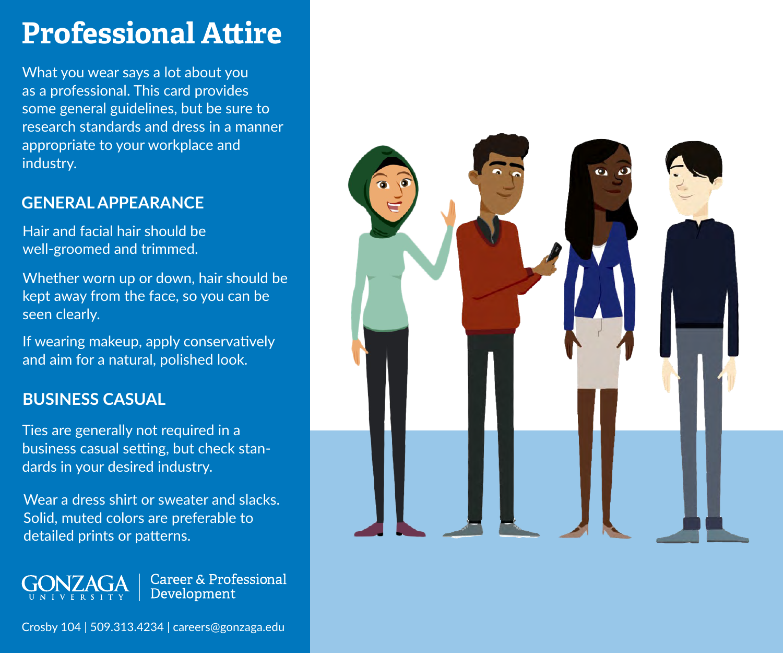# **Professional Attire**

What you wear says a lot about you as a professional. This card provides some general guidelines, but be sure to research standards and dress in a manner appropriate to your workplace and industry.

### **GENERAL APPEARANCE**

Hair and facial hair should be well-groomed and trimmed.

Whether worn up or down, hair should be kept away from the face, so you can be seen clearly.

If wearing makeup, apply conservatively and aim for a natural, polished look.

### **BUSINESS CASUAL**

Ties are generally not required in a business casual setting, but check standards in your desired industry.

Wear a dress shirt or sweater and slacks. Solid, muted colors are preferable to detailed prints or patterns.

**GONZAGA Career & Professional** Development

Crosby 104 | 509.313.4234 | careers@gonzaga.edu